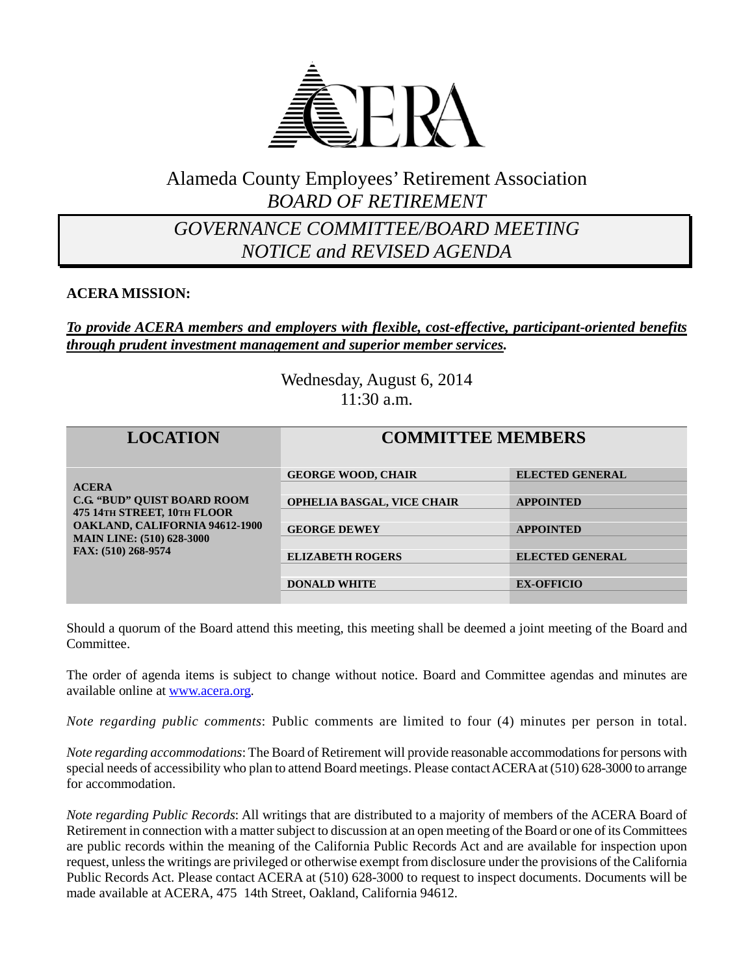

### Alameda County Employees' Retirement Association *BOARD OF RETIREMENT*

### *GOVERNANCE COMMITTEE/BOARD MEETING NOTICE and REVISED AGENDA*

### **ACERA MISSION:**

### *To provide ACERA members and employers with flexible, cost-effective, participant-oriented benefits through prudent investment management and superior member services.*

Wednesday, August 6, 2014 11:30 a.m.

| <b>LOCATION</b>                                                                                                                                                                       | <b>COMMITTEE MEMBERS</b>          |                        |
|---------------------------------------------------------------------------------------------------------------------------------------------------------------------------------------|-----------------------------------|------------------------|
| <b>ACERA</b><br><b>C.G. "BUD" OUIST BOARD ROOM</b><br>475 14TH STREET, 10TH FLOOR<br><b>OAKLAND, CALIFORNIA 94612-1900</b><br><b>MAIN LINE: (510) 628-3000</b><br>FAX: (510) 268-9574 | <b>GEORGE WOOD, CHAIR</b>         | <b>ELECTED GENERAL</b> |
|                                                                                                                                                                                       | <b>OPHELIA BASGAL, VICE CHAIR</b> | <b>APPOINTED</b>       |
|                                                                                                                                                                                       | <b>GEORGE DEWEY</b>               | <b>APPOINTED</b>       |
|                                                                                                                                                                                       | <b>ELIZABETH ROGERS</b>           | <b>ELECTED GENERAL</b> |
|                                                                                                                                                                                       | <b>DONALD WHITE</b>               | <b>EX-OFFICIO</b>      |

Should a quorum of the Board attend this meeting, this meeting shall be deemed a joint meeting of the Board and Committee.

The order of agenda items is subject to change without notice. Board and Committee agendas and minutes are available online at [www.acera.org.](http://www.acera.org/)

*Note regarding public comments*: Public comments are limited to four (4) minutes per person in total.

*Note regarding accommodations*: The Board of Retirement will provide reasonable accommodations for persons with special needs of accessibility who plan to attend Board meetings. Please contact ACERA at (510) 628-3000 to arrange for accommodation.

*Note regarding Public Records*: All writings that are distributed to a majority of members of the ACERA Board of Retirement in connection with a matter subject to discussion at an open meeting of the Board or one of its Committees are public records within the meaning of the California Public Records Act and are available for inspection upon request, unless the writings are privileged or otherwise exempt from disclosure under the provisions of the California Public Records Act. Please contact ACERA at (510) 628-3000 to request to inspect documents. Documents will be made available at ACERA, 475 14th Street, Oakland, California 94612.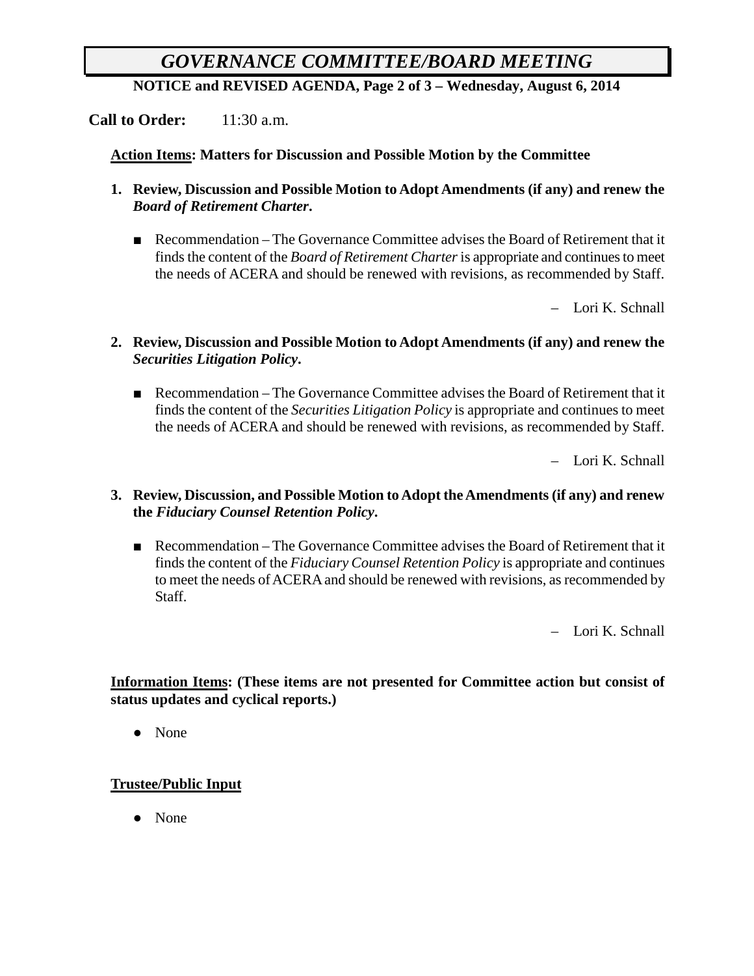# *GOVERNANCE COMMITTEE/BOARD MEETING*

**NOTICE and REVISED AGENDA, Page 2 of 3 – Wednesday, August 6, 2014**

**Call to Order:** 11:30 a.m.

#### **Action Items: Matters for Discussion and Possible Motion by the Committee**

- **1. Review, Discussion and Possible Motion to Adopt Amendments (if any) and renew the**  *Board of Retirement Charter***.**
	- Recommendation The Governance Committee advises the Board of Retirement that it finds the content of the *Board of Retirement Charter*is appropriate and continues to meet the needs of ACERA and should be renewed with revisions, as recommended by Staff.

– Lori K. Schnall

- **2. Review, Discussion and Possible Motion to Adopt Amendments (if any) and renew the**  *Securities Litigation Policy***.**
	- Recommendation The Governance Committee advises the Board of Retirement that it finds the content of the *Securities Litigation Policy* is appropriate and continues to meet the needs of ACERA and should be renewed with revisions, as recommended by Staff.

– Lori K. Schnall

- **3. Review, Discussion, and Possible Motion to Adopt the Amendments (if any) and renew the** *Fiduciary Counsel Retention Policy***.**
	- Recommendation The Governance Committee advises the Board of Retirement that it finds the content of the *Fiduciary Counsel Retention Policy* is appropriate and continues to meet the needs of ACERA and should be renewed with revisions, as recommended by Staff.

– Lori K. Schnall

### **Information Items: (These items are not presented for Committee action but consist of status updates and cyclical reports.)**

● None

### **Trustee/Public Input**

● None